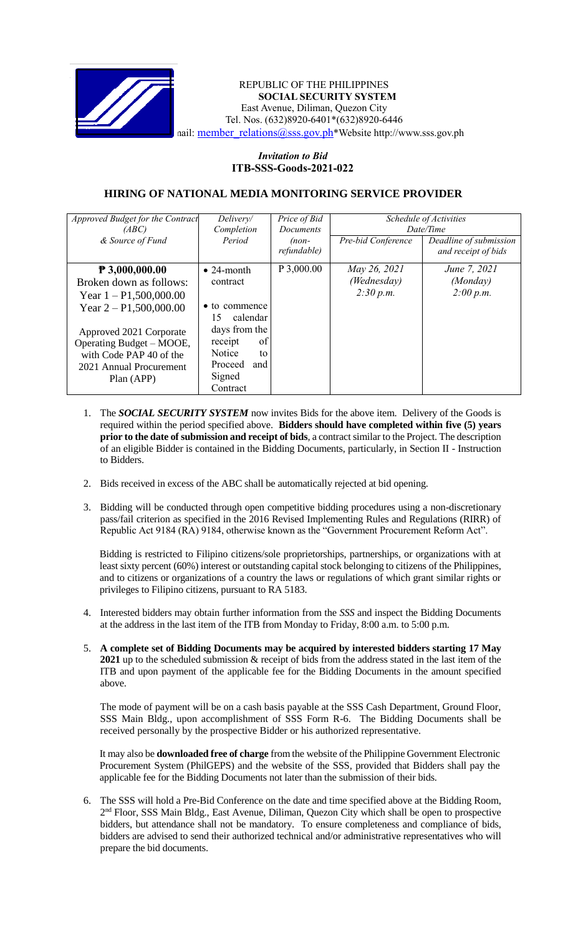

#### REPUBLIC OF THE PHILIPPINES **SOCIAL SECURITY SYSTEM** East Avenue, Diliman, Quezon City Tel. Nos. (632)8920-6401\*(632)8920-6446 nail: [member\\_relations@sss.gov.ph](mailto:member_relations@sss.gov.ph)\*Website http://www.sss.gov.ph

# *Invitation to Bid*  **ITB-SSS-Goods-2021-022**

## **HIRING OF NATIONAL MEDIA MONITORING SERVICE PROVIDER**

| Approved Budget for the Contract | Delivery/           | Price of Bid | Schedule of Activities |                        |
|----------------------------------|---------------------|--------------|------------------------|------------------------|
| (ABC)                            | Completion          | Documents    | Date/Time              |                        |
| & Source of Fund                 | Period              | $(non-$      | Pre-bid Conference     | Deadline of submission |
|                                  |                     | refundable)  |                        | and receipt of bids    |
| $P$ 3,000,000.00                 | $\bullet$ 24-month  | P 3,000.00   | May 26, 2021           | June 7, 2021           |
| Broken down as follows:          | contract            |              | (Wednesday)            | (Monday)               |
| Year $1 - P1,500,000.00$         |                     |              | 2:30 p.m.              | 2:00 p.m.              |
| Year $2 - P1,500,000.00$         | • to commence       |              |                        |                        |
|                                  | calendar<br>15      |              |                        |                        |
| Approved 2021 Corporate          | days from the       |              |                        |                        |
| Operating Budget – MOOE,         | of<br>receipt       |              |                        |                        |
| with Code PAP 40 of the          | <b>Notice</b><br>to |              |                        |                        |
| 2021 Annual Procurement          | Proceed<br>and      |              |                        |                        |
| Plan (APP)                       | Signed              |              |                        |                        |
|                                  | Contract            |              |                        |                        |

- 1. The *SOCIAL SECURITY SYSTEM* now invites Bids for the above item. Delivery of the Goods is required within the period specified above. **Bidders should have completed within five (5) years prior to the date of submission and receipt of bids**, a contract similar to the Project. The description of an eligible Bidder is contained in the Bidding Documents, particularly, in Section II - Instruction to Bidders.
- 2. Bids received in excess of the ABC shall be automatically rejected at bid opening.
- 3. Bidding will be conducted through open competitive bidding procedures using a non-discretionary pass/fail criterion as specified in the 2016 Revised Implementing Rules and Regulations (RIRR) of Republic Act 9184 (RA) 9184, otherwise known as the "Government Procurement Reform Act".

Bidding is restricted to Filipino citizens/sole proprietorships, partnerships, or organizations with at least sixty percent (60%) interest or outstanding capital stock belonging to citizens of the Philippines, and to citizens or organizations of a country the laws or regulations of which grant similar rights or privileges to Filipino citizens, pursuant to RA 5183.

- 4. Interested bidders may obtain further information from the *SSS* and inspect the Bidding Documents at the address in the last item of the ITB from Monday to Friday, 8:00 a.m. to 5:00 p.m.
- 5. **A complete set of Bidding Documents may be acquired by interested bidders starting 17 May 2021** up to the scheduled submission & receipt of bids from the address stated in the last item of the ITB and upon payment of the applicable fee for the Bidding Documents in the amount specified above.

The mode of payment will be on a cash basis payable at the SSS Cash Department, Ground Floor, SSS Main Bldg., upon accomplishment of SSS Form R-6. The Bidding Documents shall be received personally by the prospective Bidder or his authorized representative.

It may also be **downloaded free of charge** from the website of the Philippine Government Electronic Procurement System (PhilGEPS) and the website of the SSS*,* provided that Bidders shall pay the applicable fee for the Bidding Documents not later than the submission of their bids.

6. The SSS will hold a Pre-Bid Conference on the date and time specified above at the Bidding Room, 2<sup>nd</sup> Floor, SSS Main Bldg., East Avenue, Diliman, Quezon City which shall be open to prospective bidders, but attendance shall not be mandatory. To ensure completeness and compliance of bids, bidders are advised to send their authorized technical and/or administrative representatives who will prepare the bid documents.